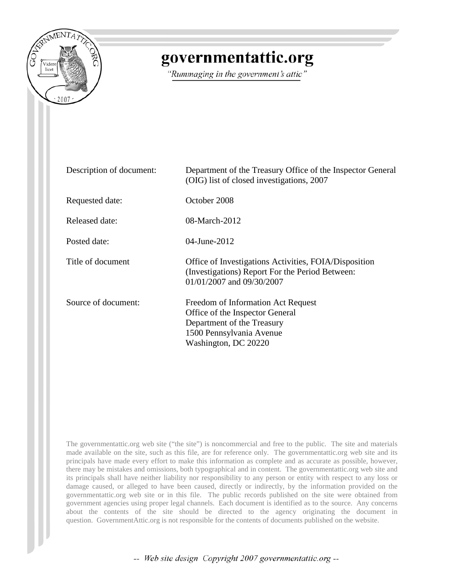

## governmentattic.org

"Rummaging in the government's attic"

| Description of document: | Department of the Treasury Office of the Inspector General<br>(OIG) list of closed investigations, 2007                                                 |
|--------------------------|---------------------------------------------------------------------------------------------------------------------------------------------------------|
| Requested date:          | October 2008                                                                                                                                            |
| Released date:           | 08-March-2012                                                                                                                                           |
| Posted date:             | 04-June-2012                                                                                                                                            |
| Title of document        | Office of Investigations Activities, FOIA/Disposition<br>(Investigations) Report For the Period Between:<br>01/01/2007 and 09/30/2007                   |
| Source of document:      | Freedom of Information Act Request<br>Office of the Inspector General<br>Department of the Treasury<br>1500 Pennsylvania Avenue<br>Washington, DC 20220 |

The governmentattic.org web site ("the site") is noncommercial and free to the public. The site and materials made available on the site, such as this file, are for reference only. The governmentattic.org web site and its principals have made every effort to make this information as complete and as accurate as possible, however, there may be mistakes and omissions, both typographical and in content. The governmentattic.org web site and its principals shall have neither liability nor responsibility to any person or entity with respect to any loss or damage caused, or alleged to have been caused, directly or indirectly, by the information provided on the governmentattic.org web site or in this file. The public records published on the site were obtained from government agencies using proper legal channels. Each document is identified as to the source. Any concerns about the contents of the site should be directed to the agency originating the document in question. GovernmentAttic.org is not responsible for the contents of documents published on the website.

-- Web site design Copyright 2007 governmentattic.org --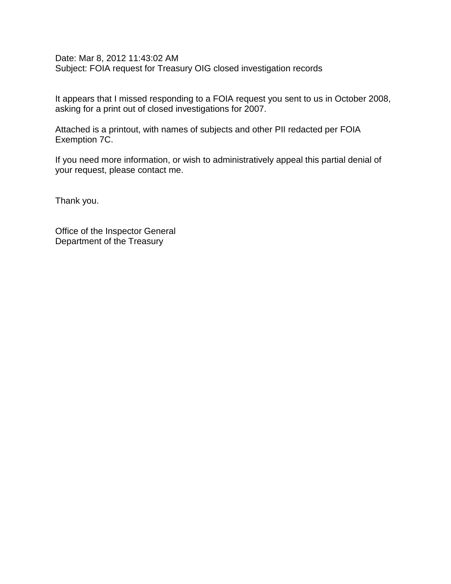Date: Mar 8, 2012 11:43:02 AM Subject: FOIA request for Treasury OIG closed investigation records

It appears that I missed responding to a FOIA request you sent to us in October 2008, asking for a print out of closed investigations for 2007.

Attached is a printout, with names of subjects and other PII redacted per FOIA Exemption 7C.

If you need more information, or wish to administratively appeal this partial denial of your request, please contact me.

Thank you.

Office of the Inspector General Department of the Treasury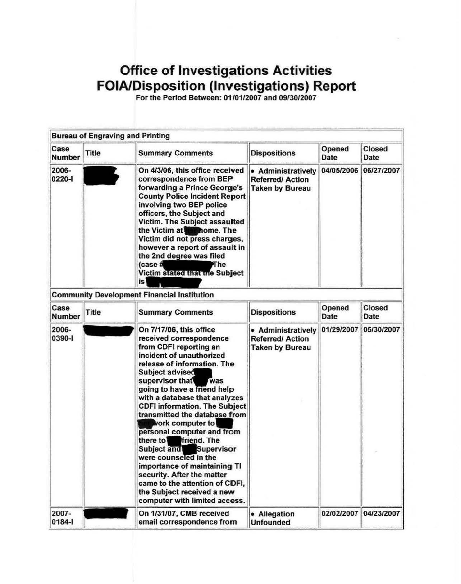## **Office of Investigations Activities FOIA/Disposition (Investigations) Report**

For the Period Between: 01/01/2007 and 09130/2007

|                                                                                                                                                                                                          |              | <b>Bureau of Engraving and Printing</b>                                                                                                                                                                                                                                                                                                                                                                                                                                                                          |                                                                        |                       |                |
|----------------------------------------------------------------------------------------------------------------------------------------------------------------------------------------------------------|--------------|------------------------------------------------------------------------------------------------------------------------------------------------------------------------------------------------------------------------------------------------------------------------------------------------------------------------------------------------------------------------------------------------------------------------------------------------------------------------------------------------------------------|------------------------------------------------------------------------|-----------------------|----------------|
| Case<br><b>Number</b>                                                                                                                                                                                    | <b>Title</b> | <b>Summary Comments</b>                                                                                                                                                                                                                                                                                                                                                                                                                                                                                          | <b>Dispositions</b>                                                    | Opened<br><b>Date</b> | Closed<br>Date |
| 2006-<br>0220-1                                                                                                                                                                                          |              | On 4/3/06, this office received<br>• Administratively<br>correspondence from BEP<br><b>Referred/Action</b><br>forwarding a Prince George's<br><b>Taken by Bureau</b><br><b>County Police Incident Report</b><br>involving two BEP police<br>officers, the Subject and<br>Victim. The Subject assaulted<br>the Victim at <b>The Rome.</b> The<br>Victim did not press charges,<br>however a report of assault in<br>the 2nd degree was filed<br>$(case \#)$<br>The<br><b>Victim stated that the Subject</b><br>is |                                                                        | 04/05/2006            | 06/27/2007     |
|                                                                                                                                                                                                          |              | <b>Community Development Financial Institution</b>                                                                                                                                                                                                                                                                                                                                                                                                                                                               |                                                                        |                       |                |
| Case<br><b>Number</b>                                                                                                                                                                                    | <b>Title</b> | <b>Summary Comments</b>                                                                                                                                                                                                                                                                                                                                                                                                                                                                                          | <b>Dispositions</b>                                                    | Opened<br><b>Date</b> | Closed<br>Date |
| 2006-<br>On 7/17/06, this office<br>0390-1<br>from CDFI reporting an<br>Subject advised<br>supervisor that<br><b>Nork computer to</b><br>friend. The<br>there to<br>Subject and<br>were counseled in the |              | received correspondence<br>incident of unauthorized<br>release of information. The<br>was<br>going to have a friend help<br>with a database that analyzes<br><b>CDFI information. The Subject</b><br>transmitted the database from<br>personal computer and from<br><b>Supervisor</b><br>importance of maintaining TI<br>security. After the matter<br>came to the attention of CDFI,<br>the Subject received a new<br>computer with limited access.                                                             | • Administratively<br><b>Referred/Action</b><br><b>Taken by Bureau</b> | 01/29/2007            | 05/30/2007     |
| 2007-<br>$0184 -$                                                                                                                                                                                        |              | On 1/31/07, CMB received<br>email correspondence from                                                                                                                                                                                                                                                                                                                                                                                                                                                            | • Allegation<br><b>Unfounded</b>                                       | 02/02/2007            | 04/23/2007     |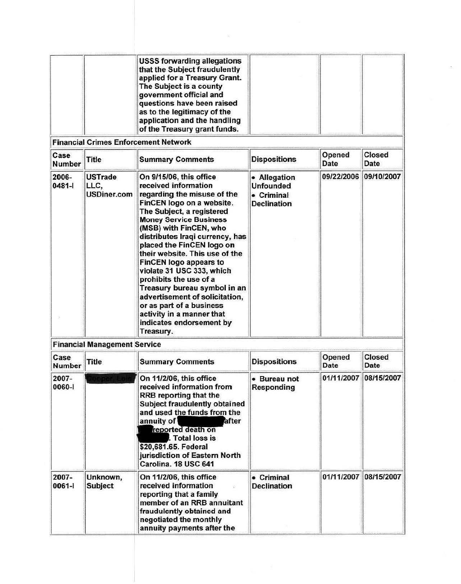|  | <b>USSS forwarding allegations</b><br>that the Subject fraudulently<br>applied for a Treasury Grant.<br>The Subject is a county<br>government official and<br>questions have been raised<br>as to the legitimacy of the<br>application and the handling<br>of the Treasury grant funds. |  |
|--|-----------------------------------------------------------------------------------------------------------------------------------------------------------------------------------------------------------------------------------------------------------------------------------------|--|
|--|-----------------------------------------------------------------------------------------------------------------------------------------------------------------------------------------------------------------------------------------------------------------------------------------|--|

| Case<br><b>Number</b> | <b>Title</b>                                 | <b>Summary Comments</b>                                                                                                                                                                                                                                                                                                                                                                                                                                                                                                                                           | <b>Dispositions</b>                                                  | Opened<br>Date        | Closed<br>Date |
|-----------------------|----------------------------------------------|-------------------------------------------------------------------------------------------------------------------------------------------------------------------------------------------------------------------------------------------------------------------------------------------------------------------------------------------------------------------------------------------------------------------------------------------------------------------------------------------------------------------------------------------------------------------|----------------------------------------------------------------------|-----------------------|----------------|
| 2006-<br>$0481 -$     | <b>USTrade</b><br>LLC,<br><b>USDiner.com</b> | On 9/15/06, this office<br>received information<br>regarding the misuse of the<br>FinCEN logo on a website.<br>The Subject, a registered<br><b>Money Service Business</b><br>(MSB) with FinCEN, who<br>distributes Iraqi currency, has<br>placed the FinCEN logo on<br>their website. This use of the<br><b>FinCEN logo appears to</b><br>violate 31 USC 333, which<br>prohibits the use of a<br>Treasury bureau symbol in an<br>advertisement of solicitation,<br>or as part of a business<br>activity in a manner that<br>indicates endorsement by<br>Treasury. | • Allegation<br><b>Unfounded</b><br>• Criminal<br><b>Declination</b> | 09/22/2006 09/10/2007 |                |

| Case<br><b>Number</b> | <b>Title</b>               | <b>Summary Comments</b>                                                                                                                                                                                                                                                                               | <b>Dispositions</b>               | Opened<br>Date        | <b>Closed</b><br>Date |
|-----------------------|----------------------------|-------------------------------------------------------------------------------------------------------------------------------------------------------------------------------------------------------------------------------------------------------------------------------------------------------|-----------------------------------|-----------------------|-----------------------|
| 2007-<br>0060-1       |                            | On 11/2/06, this office<br>received information from<br><b>RRB</b> reporting that the<br>Subject fraudulently obtained<br>and used the funds from the<br>annuity of<br>after<br>reported death on<br>. Total loss is<br>\$20,681.65. Federal<br>jurisdiction of Eastern North<br>Carolina. 18 USC 641 | • Bureau not<br><b>Responding</b> | 01/11/2007            | 08/15/2007            |
| 2007-<br>0061-1       | Unknown,<br><b>Subject</b> | On 11/2/06, this office<br>received information<br>reporting that a family<br>member of an RRB annuitant<br>fraudulently obtained and<br>negotiated the monthly<br>annuity payments after the                                                                                                         | • Criminal<br><b>Declination</b>  | 01/11/2007 08/15/2007 |                       |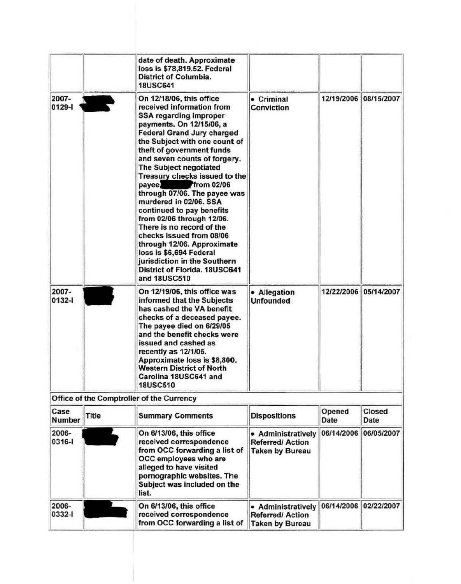|                       |              | date of death. Approximate<br>loss is \$78,819.52. Federal<br><b>District of Columbia.</b><br><b>18USC641</b>                                                                                                                                                                                                                                                                                                                                                                                                                                                                                                                                                          |                                                                                      |                |                       |
|-----------------------|--------------|------------------------------------------------------------------------------------------------------------------------------------------------------------------------------------------------------------------------------------------------------------------------------------------------------------------------------------------------------------------------------------------------------------------------------------------------------------------------------------------------------------------------------------------------------------------------------------------------------------------------------------------------------------------------|--------------------------------------------------------------------------------------|----------------|-----------------------|
| 2007-<br>$0129 -$     |              | On 12/18/06, this office<br>received information from<br><b>SSA regarding improper</b><br>payments. On 12/15/06, a<br><b>Federal Grand Jury charged</b><br>the Subject with one count of<br>theft of government funds<br>and seven counts of forgery.<br><b>The Subject negotiated</b><br>Treasury checks issued to the<br>payee.<br>from 02/06<br>through 07/06. The payee was<br>murdered in 02/06. SSA<br>continued to pay benefits<br>from 02/06 through 12/06.<br>There is no record of the<br>checks issued from 08/06<br>through 12/06. Approximate<br>loss is \$6,694 Federal<br>jurisdiction in the Southern<br>District of Florida, 18USC641<br>and 18USC510 | • Criminal<br><b>Conviction</b>                                                      |                | 12/19/2006 08/15/2007 |
| 2007-<br>0132-1       |              | On 12/19/06, this office was<br>informed that the Subjects<br>has cashed the VA benefit<br>checks of a deceased payee.<br>The payee died on 6/29/05<br>and the benefit checks were<br>issued and cashed as<br>recently as 12/1/06.<br>Approximate loss is \$8,800.<br><b>Western District of North</b><br>Carolina 18USC641 and<br><b>18USC510</b>                                                                                                                                                                                                                                                                                                                     | • Allegation<br><b>Unfounded</b>                                                     |                | 12/22/2006 05/14/2007 |
|                       |              | Office of the Comptroller of the Currency                                                                                                                                                                                                                                                                                                                                                                                                                                                                                                                                                                                                                              |                                                                                      |                |                       |
| Case<br><b>Number</b> | <b>Title</b> | <b>Summary Comments</b>                                                                                                                                                                                                                                                                                                                                                                                                                                                                                                                                                                                                                                                | <b>Dispositions</b>                                                                  | Opened<br>Date | Closed<br>Date        |
| 2006-<br>0316-1       |              | On 6/13/06, this office<br>received correspondence<br>from OCC forwarding a list of<br>OCC employees who are<br>alleged to have visited<br>pornographic websites. The<br>Subject was included on the<br>list.                                                                                                                                                                                                                                                                                                                                                                                                                                                          | 06/14/2006<br>• Administratively<br><b>Referred/Action</b><br><b>Taken by Bureau</b> |                | 06/05/2007            |
| 2006-<br>0332-1       |              | On 6/13/06, this office<br>received correspondence<br>from OCC forwarding a list of                                                                                                                                                                                                                                                                                                                                                                                                                                                                                                                                                                                    | • Administratively<br><b>Referred/Action</b><br><b>Taken by Bureau</b>               | 06/14/2006     | 02/22/2007            |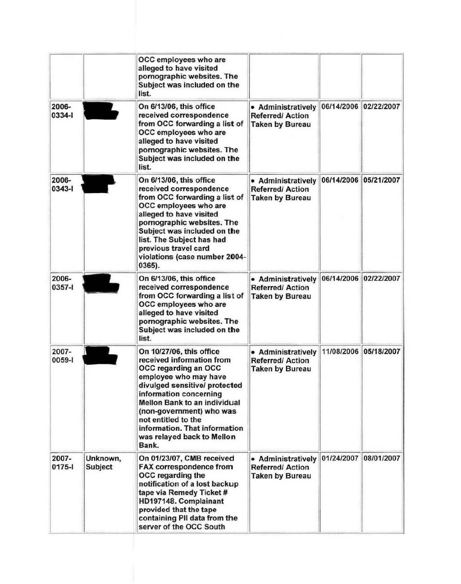|                     |                     | OCC employees who are<br>alleged to have visited<br>pornographic websites. The<br>Subject was included on the<br>list.                                                                                                                                                                                                              |                                                                        |            |                       |
|---------------------|---------------------|-------------------------------------------------------------------------------------------------------------------------------------------------------------------------------------------------------------------------------------------------------------------------------------------------------------------------------------|------------------------------------------------------------------------|------------|-----------------------|
| 2006-<br>0334-1     |                     | On 6/13/06, this office<br>received correspondence<br>from OCC forwarding a list of<br>OCC employees who are<br>alleged to have visited<br>pornographic websites. The<br>Subject was included on the<br>list.                                                                                                                       | • Administratively<br><b>Referred/Action</b><br><b>Taken by Bureau</b> |            | 06/14/2006 02/22/2007 |
| 2006-<br>0343-1     |                     | On 6/13/06, this office<br>received correspondence<br>from OCC forwarding a list of<br>OCC employees who are<br>alleged to have visited<br>pornographic websites. The<br>Subject was included on the<br>list. The Subject has had<br>previous travel card<br>violations (case number 2004-<br>$0365$ ).                             | • Administratively<br><b>Referred/Action</b><br><b>Taken by Bureau</b> | 06/14/2006 | 05/21/2007            |
| 2006-<br>0357-1     |                     | On 6/13/06, this office<br>received correspondence<br>from OCC forwarding a list of<br>OCC employees who are<br>alleged to have visited<br>pornographic websites. The<br>Subject was included on the<br>list.                                                                                                                       | • Administratively<br><b>Referred/Action</b><br><b>Taken by Bureau</b> |            | 06/14/2006 02/22/2007 |
| 2007-<br>0059-1     |                     | On 10/27/06, this office<br>received information from<br>OCC regarding an OCC<br>employee who may have<br>divulged sensitive/ protected<br>information concerning<br><b>Mellon Bank to an individual</b><br>(non-government) who was<br>not entitled to the<br>information. That information<br>was relayed back to Mellon<br>Bank. | • Administratively<br><b>Referred/Action</b><br><b>Taken by Bureau</b> | 11/08/2006 | 05/18/2007            |
| 2007-<br>$0175 - 1$ | Unknown,<br>Subject | On 01/23/07, CMB received<br><b>FAX correspondence from</b><br>OCC regarding the<br>notification of a lost backup<br>tape via Remedy Ticket #<br>HD197148. Complainant<br>provided that the tape<br>containing PII data from the<br>server of the OCC South                                                                         | • Administratively<br><b>Referred/Action</b><br><b>Taken by Bureau</b> | 01/24/2007 | 08/01/2007            |